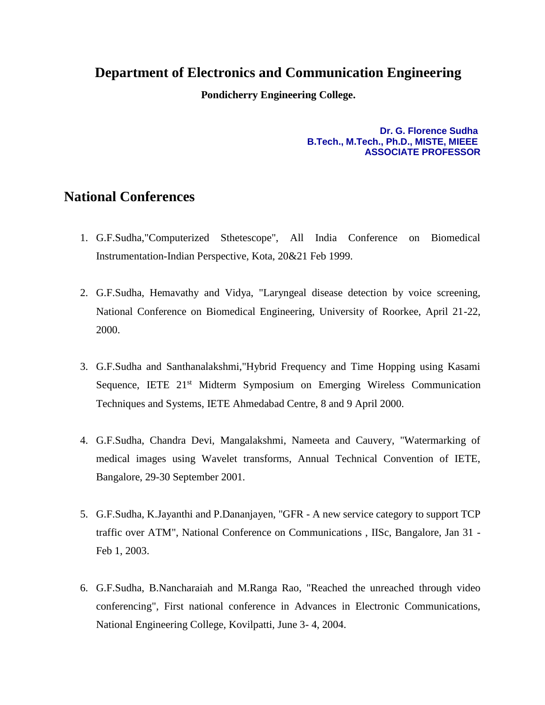## **Department of Electronics and Communication Engineering**

**Pondicherry Engineering College.**

## **Dr. G. Florence Sudha B.Tech., M.Tech., Ph.D., MISTE, MIEEE ASSOCIATE PROFESSOR**

## **National Conferences**

- 1. G.F.Sudha,"Computerized Sthetescope", All India Conference on Biomedical Instrumentation-Indian Perspective, Kota, 20&21 Feb 1999.
- 2. G.F.Sudha, Hemavathy and Vidya, "Laryngeal disease detection by voice screening, National Conference on Biomedical Engineering, University of Roorkee, April 21-22, 2000.
- 3. G.F.Sudha and Santhanalakshmi,"Hybrid Frequency and Time Hopping using Kasami Sequence, IETE 21<sup>st</sup> Midterm Symposium on Emerging Wireless Communication Techniques and Systems, IETE Ahmedabad Centre, 8 and 9 April 2000.
- 4. G.F.Sudha, Chandra Devi, Mangalakshmi, Nameeta and Cauvery, "Watermarking of medical images using Wavelet transforms, Annual Technical Convention of IETE, Bangalore, 29-30 September 2001.
- 5. G.F.Sudha, K.Jayanthi and P.Dananjayen, "GFR A new service category to support TCP traffic over ATM", National Conference on Communications , IISc, Bangalore, Jan 31 - Feb 1, 2003.
- 6. G.F.Sudha, B.Nancharaiah and M.Ranga Rao, "Reached the unreached through video conferencing", First national conference in Advances in Electronic Communications, National Engineering College, Kovilpatti, June 3- 4, 2004.